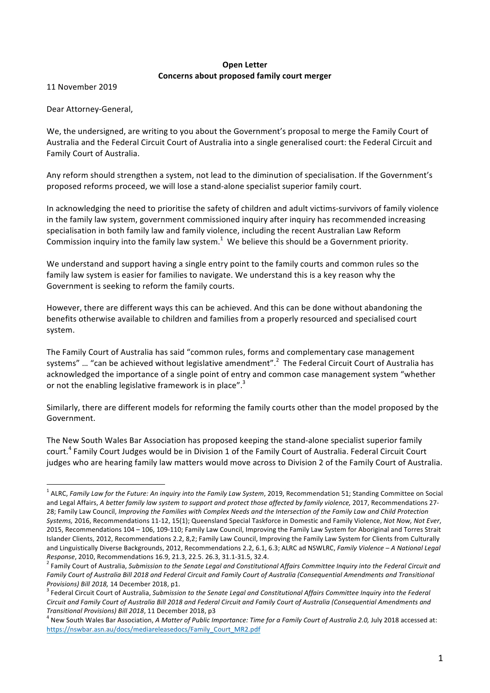## **Open Letter Concerns about proposed family court merger**

11 November 2019

Dear Attorney-General,

We, the undersigned, are writing to you about the Government's proposal to merge the Family Court of Australia and the Federal Circuit Court of Australia into a single generalised court: the Federal Circuit and Family Court of Australia.

Any reform should strengthen a system, not lead to the diminution of specialisation. If the Government's proposed reforms proceed, we will lose a stand-alone specialist superior family court.

In acknowledging the need to prioritise the safety of children and adult victims-survivors of family violence in the family law system, government commissioned inquiry after inquiry has recommended increasing specialisation in both family law and family violence, including the recent Australian Law Reform Commission inquiry into the family law system.<sup>1</sup> We believe this should be a Government priority.

We understand and support having a single entry point to the family courts and common rules so the family law system is easier for families to navigate. We understand this is a key reason why the Government is seeking to reform the family courts.

However, there are different ways this can be achieved. And this can be done without abandoning the benefits otherwise available to children and families from a properly resourced and specialised court system.

The Family Court of Australia has said "common rules, forms and complementary case management systems" ... "can be achieved without legislative amendment".<sup>2</sup> The Federal Circuit Court of Australia has acknowledged the importance of a single point of entry and common case management system "whether or not the enabling legislative framework is in place".<sup>3</sup>

Similarly, there are different models for reforming the family courts other than the model proposed by the Government. 

The New South Wales Bar Association has proposed keeping the stand-alone specialist superior family court.<sup>4</sup> Family Court Judges would be in Division 1 of the Family Court of Australia. Federal Circuit Court judges who are hearing family law matters would move across to Division 2 of the Family Court of Australia.

<sup>&</sup>lt;sup>1</sup> ALRC, *Family Law for the Future: An inquiry into the Family Law System, 2019, Recommendation 51; Standing Committee on Social* and Legal Affairs, *A better family law system to support and protect those affected by family violence, 2017, Recommendations 27-*28; Family Law Council, *Improving the Families with Complex Needs and the Intersection of the Family Law and Child Protection Systems,* 2016, Recommendations 11-12, 15(1); Queensland Special Taskforce in Domestic and Family Violence, *Not Now, Not Ever*, 2015, Recommendations 104 - 106, 109-110; Family Law Council, Improving the Family Law System for Aboriginal and Torres Strait Islander Clients, 2012, Recommendations 2.2, 8,2; Family Law Council, Improving the Family Law System for Clients from Culturally and Linguistically Diverse Backgrounds, 2012, Recommendations 2.2, 6.1, 6.3; ALRC ad NSWLRC, *Family Violence* – *A National Legal Response*, 2010, Recommendations 16.9, 21.3, 22.5. 26.3, 31.1-31.5, 32.4. *2* Family Court of Australia, *Submission to the Senate Legal and Constitutional Affairs Committee Inquiry into the Federal Circuit and*  $\frac{1}{2}$ 

Family Court of Australia Bill 2018 and Federal Circuit and Family Court of Australia (Consequential Amendments and Transitional *Provisions)* Bill 2018, 14 December 2018, p1.<br><sup>3</sup> Federal Circuit Court of Australia, Submission to the Senate Legal and Constitutional Affairs Committee Inquiry into the Federal

Circuit and Family Court of Australia Bill 2018 and Federal Circuit and Family Court of Australia (Consequential Amendments and *Transitional Provisions) Bill 2018, 11 December 2018, p3* 4 New South of a Family Court of Australia 2.0, July 2018 accessed at:

https://nswbar.asn.au/docs/mediareleasedocs/Family\_Court\_MR2.pdf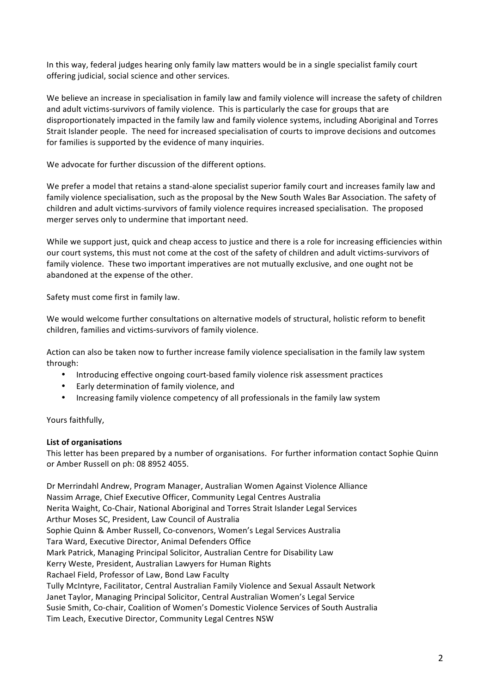In this way, federal judges hearing only family law matters would be in a single specialist family court offering judicial, social science and other services.

We believe an increase in specialisation in family law and family violence will increase the safety of children and adult victims-survivors of family violence. This is particularly the case for groups that are disproportionately impacted in the family law and family violence systems, including Aboriginal and Torres Strait Islander people. The need for increased specialisation of courts to improve decisions and outcomes for families is supported by the evidence of many inquiries.

We advocate for further discussion of the different options.

We prefer a model that retains a stand-alone specialist superior family court and increases family law and family violence specialisation, such as the proposal by the New South Wales Bar Association. The safety of children and adult victims-survivors of family violence requires increased specialisation. The proposed merger serves only to undermine that important need.

While we support just, quick and cheap access to justice and there is a role for increasing efficiencies within our court systems, this must not come at the cost of the safety of children and adult victims-survivors of family violence. These two important imperatives are not mutually exclusive, and one ought not be abandoned at the expense of the other.

Safety must come first in family law.

We would welcome further consultations on alternative models of structural, holistic reform to benefit children, families and victims-survivors of family violence.

Action can also be taken now to further increase family violence specialisation in the family law system through:

- Introducing effective ongoing court-based family violence risk assessment practices
- Early determination of family violence, and
- Increasing family violence competency of all professionals in the family law system

Yours faithfully.

## **List of organisations**

This letter has been prepared by a number of organisations. For further information contact Sophie Quinn or Amber Russell on ph: 08 8952 4055.

Dr Merrindahl Andrew, Program Manager, Australian Women Against Violence Alliance Nassim Arrage, Chief Executive Officer, Community Legal Centres Australia Nerita Waight, Co-Chair, National Aboriginal and Torres Strait Islander Legal Services Arthur Moses SC, President, Law Council of Australia Sophie Quinn & Amber Russell, Co-convenors, Women's Legal Services Australia Tara Ward, Executive Director, Animal Defenders Office Mark Patrick, Managing Principal Solicitor, Australian Centre for Disability Law Kerry Weste, President, Australian Lawyers for Human Rights Rachael Field, Professor of Law, Bond Law Faculty Tully McIntyre, Facilitator, Central Australian Family Violence and Sexual Assault Network Janet Taylor, Managing Principal Solicitor, Central Australian Women's Legal Service Susie Smith, Co-chair, Coalition of Women's Domestic Violence Services of South Australia Tim Leach, Executive Director, Community Legal Centres NSW